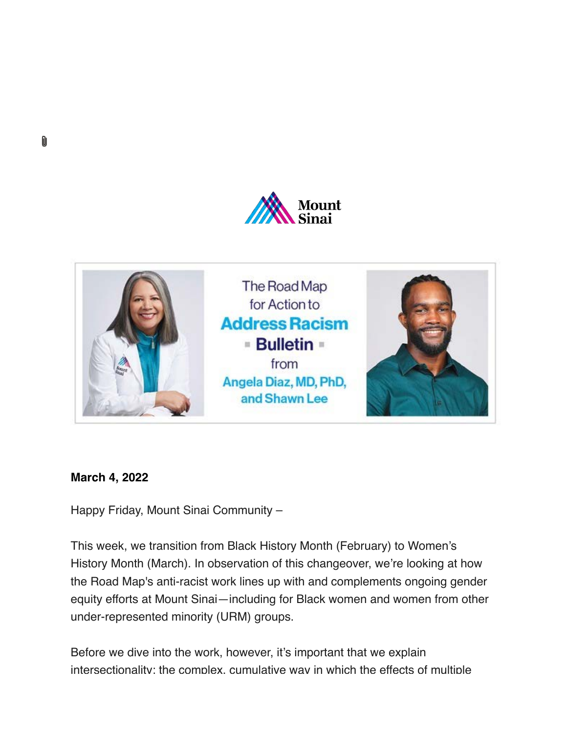



### **March 4, 2022**

M

Happy Friday, Mount Sinai Community –

This week, we transition from Black History Month (February) to Women's History Month (March). In observation of this changeover, we're looking at how the Road Map's anti-racist work lines up with and complements ongoing gender equity efforts at Mount Sinai—including for Black women and women from other under-represented minority (URM) groups.

Before we dive into the work, however, it's important that we explain [intersectionality:](https://s2.bl-1.com/h/dpCdk01M?url=https://www.merriam-webster.com/dictionary/intersectionality) the complex, cumulative way in which the effects of multiple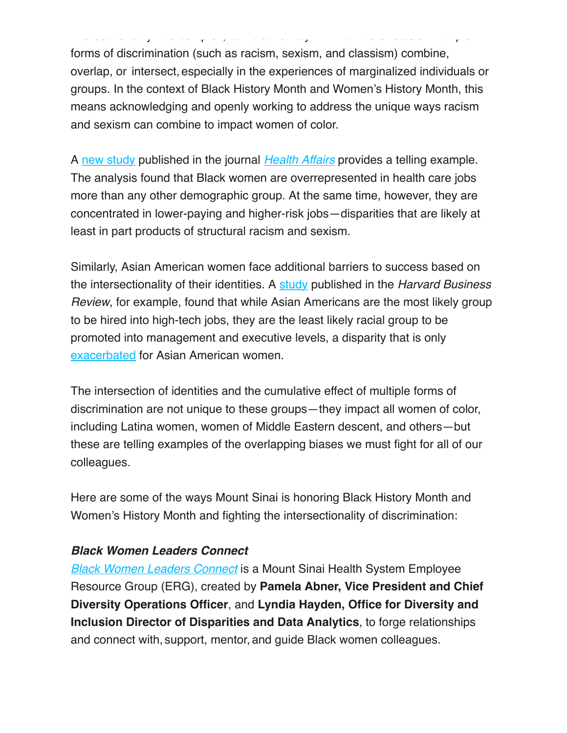forms of discrimination (such as racism, sexism, and classism) combine, overlap, or intersect, especially in the experiences of marginalized individuals or groups. In the context of Black History Month and Women's History Month, this means acknowledging and openly working to address the unique ways racism and sexism can combine to impact women of color.

[intersectionality:](https://s2.bl-1.com/h/dpCdk01M?url=https://www.merriam-webster.com/dictionary/intersectionality) the complex, cumulative way in which the effects of multiple

A [new study](https://s2.bl-1.com/h/dpCdk4QP?url=https://www.washingtonpost.com/lifestyle/2022/02/24/black-women-health-care-jobs/) published in the journal *[Health Affairs](https://s2.bl-1.com/h/dpCdk9pR?url=https://www.healthaffairs.org/doi/10.1377/hlthaff.2021.01400)* provides a telling example. The analysis found that Black women are overrepresented in health care jobs more than any other demographic group. At the same time, however, they are concentrated in lower-paying and higher-risk jobs—disparities that are likely at least in part products of structural racism and sexism.

Similarly, Asian American women face additional barriers to success based on the intersectionality of their identities. A [study](https://s2.bl-1.com/h/dpCdkFCT?url=https://hbr.org/2018/05/asian-americans-are-the-least-likely-group-in-the-u-s-to-be-promoted-to-management) published in the *Harvard Business Review*, for example, found that while Asian Americans are the most likely group to be hired into high-tech jobs, they are the least likely racial group to be promoted into management and executive levels, a disparity that is only [exacerbated](https://s2.bl-1.com/h/dpCdkLcW?url=https://papers.ssrn.com/sol3/papers.cfm?abstract_id=2254711) for Asian American women.

The intersection of identities and the cumulative effect of multiple forms of discrimination are not unique to these groups—they impact all women of color, including Latina women, women of Middle Eastern descent, and others—but these are telling examples of the overlapping biases we must fight for all of our colleagues.

Here are some of the ways Mount Sinai is honoring Black History Month and Women's History Month and fighting the intersectionality of discrimination:

#### *Black Women Leaders Connect*

*[Black Women Leaders Connect](https://s2.bl-1.com/h/dpCdkQ0Y?url=http://womenconnect.mountsinai.org/)* is a Mount Sinai Health System Employee Resource Group (ERG), created by **Pamela Abner, Vice President and Chief Diversity Operations Officer**, and **Lyndia Hayden, Office for Diversity and Inclusion Director of Disparities and Data Analytics**, to forge relationships and connect with, support, mentor,and guide Black women colleagues.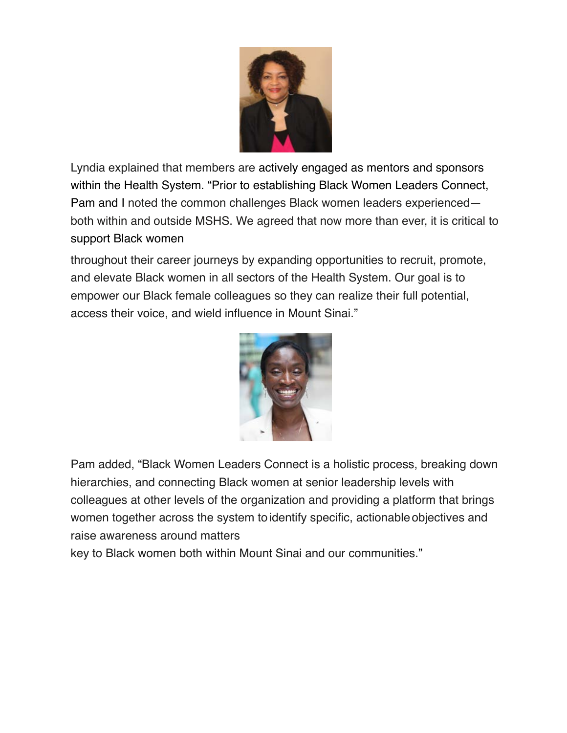

Lyndia explained that members are actively engaged as mentors and sponsors within the Health System. "Prior to establishing Black Women Leaders Connect, Pam and I noted the common challenges Black women leaders experienced both within and outside MSHS. We agreed that now more than ever, it is critical to support Black women

throughout their career journeys by expanding opportunities to recruit, promote, and elevate Black women in all sectors of the Health System. Our goal is to empower our Black female colleagues so they can realize their full potential, access their voice, and wield influence in Mount Sinai."



Pam added, "Black Women Leaders Connect is a holistic process, breaking down hierarchies, and connecting Black women at senior leadership levels with colleagues at other levels of the organization and providing a platform that brings women together across the system to identify specific, actionable objectives and raise awareness around matters

key to Black women both within Mount Sinai and our communities."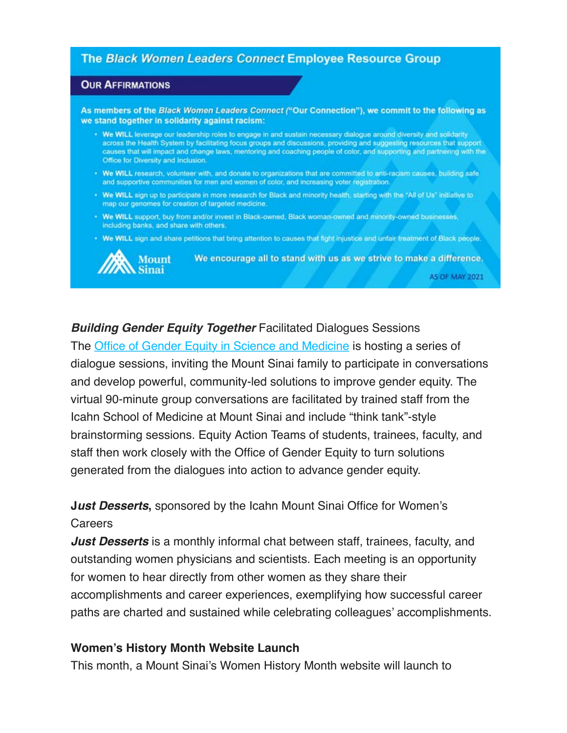#### **The Black Women Leaders Connect Employee Resource Group**

#### **OUR AFFIRMATIONS**

As members of the Black Women Leaders Connect ("Our Connection"), we commit to the following as we stand together in solidarity against racism:

- . We WILL leverage our leadership roles to engage in and sustain necessary dialogue around diversity and solidarity across the Health System by facilitating focus groups and discussions, providing and suggesting resources that support<br>causes that will impact and change laws, mentoring and coaching people of color, and supporting and par Office for Diversity and Inclusion.
- . We WILL research, volunteer with, and donate to organizations that are committed to anti-racism causes, building safe and supportive communities for men and women of color, and increasing voter registration.
- . We WILL sign up to participate in more research for Black and minority health, starting with the "All of Us" initiative to map our genomes for creation of targeted medicine.
- . We WILL support, buy from and/or invest in Black-owned, Black woman-owned and minority-owned businesses, including banks, and share with others.
- . We WILL sign and share petitions that bring attention to causes that fight injustice and unfair treatment of Black people.



We encourage all to stand with us as we strive to make a difference. **AS OF MAY 2021** 

#### *Building Gender Equity Together* Facilitated Dialogues Sessions

The [Office of Gender Equity in Science and Medicine](https://s2.bl-1.com/h/dpCdkVQb?url=https://icahn.mssm.edu/about/gender-equity) is hosting a series of dialogue sessions, inviting the Mount Sinai family to participate in conversations and develop powerful, community-led solutions to improve gender equity. The virtual 90-minute group conversations are facilitated by trained staff from the Icahn School of Medicine at Mount Sinai and include "think tank"-style brainstorming sessions. Equity Action Teams of students, trainees, faculty, and staff then work closely with the Office of Gender Equity to turn solutions generated from the dialogues into action to advance gender equity.

## **J***ust Desserts***,** sponsored by the Icahn Mount Sinai Office for Women's **Careers**

*Just Desserts* is a monthly informal chat between staff, trainees, faculty, and outstanding women physicians and scientists. Each meeting is an opportunity for women to hear directly from other women as they share their accomplishments and career experiences, exemplifying how successful career paths are charted and sustained while celebrating colleagues' accomplishments.

#### **Women's History Month Website Launch**

This month, a Mount Sinai's Women History Month website will launch to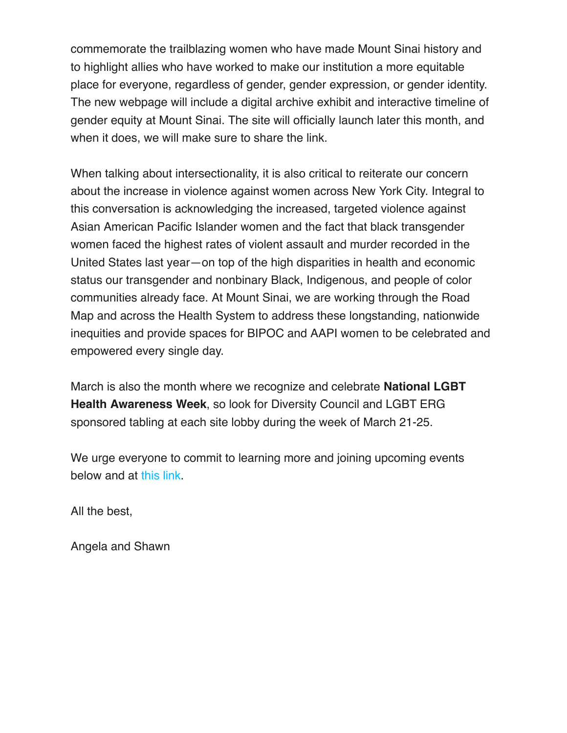commemorate the trailblazing women who have made Mount Sinai history and to highlight allies who have worked to make our institution a more equitable place for everyone, regardless of gender, gender expression, or gender identity. The new webpage will include a digital archive exhibit and interactive timeline of gender equity at Mount Sinai. The site will officially launch later this month, and when it does, we will make sure to share the link.

When talking about intersectionality, it is also critical to reiterate our concern about the increase in violence against women across New York City. Integral to this conversation is acknowledging the increased, targeted violence against Asian American Pacific Islander women and the fact that black transgender women faced the highest rates of violent assault and murder recorded in the United States last year—on top of the high disparities in health and economic status our transgender and nonbinary Black, Indigenous, and people of color communities already face. At Mount Sinai, we are working through the Road Map and across the Health System to address these longstanding, nationwide inequities and provide spaces for BIPOC and AAPI women to be celebrated and empowered every single day.

March is also the month where we recognize and celebrate **National LGBT Health Awareness Week**, so look for Diversity Council and LGBT ERG sponsored tabling at each site lobby during the week of March 21-25.

We urge everyone to commit to learning more and joining upcoming events below and at [this link](https://s2.bl-1.com/h/dpCdlbpd?url=http://mshsintranet.mountsinai.org/MSHS/Details.aspx?FromPage=Health%20System%20News&CId=55789).

All the best,

Angela and Shawn